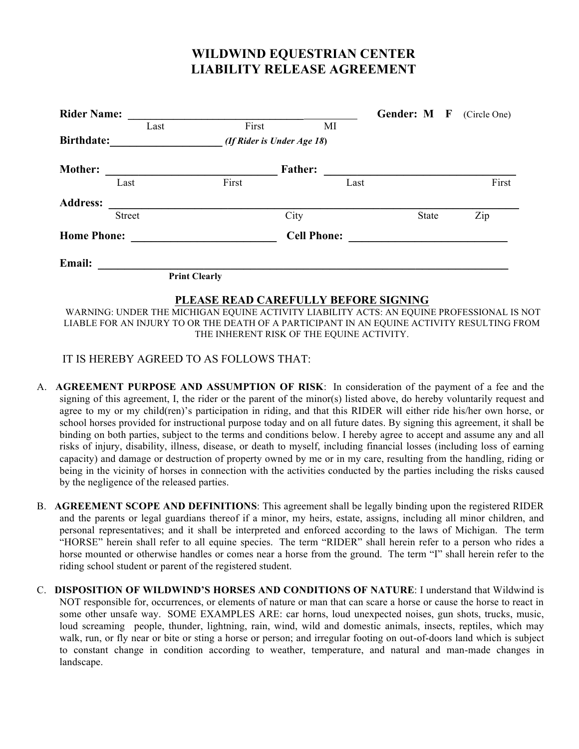## **WILDWIND EQUESTRIAN CENTER LIABILITY RELEASE AGREEMENT**

| <b>Rider Name:</b> |                |                      |                            |      |      |  |       | Gender: M F | (Circle One) |
|--------------------|----------------|----------------------|----------------------------|------|------|--|-------|-------------|--------------|
|                    |                | Last                 | First                      |      | MI   |  |       |             |              |
| <b>Birthdate:</b>  |                |                      | (If Rider is Under Age 18) |      |      |  |       |             |              |
| <b>Mother:</b>     | <b>Father:</b> |                      |                            |      |      |  |       |             |              |
|                    | Last           |                      | First                      |      | Last |  |       |             | First        |
| <b>Address:</b>    |                |                      |                            |      |      |  |       |             |              |
|                    | <b>Street</b>  |                      |                            | City |      |  | State |             | Zip          |
| <b>Home Phone:</b> |                |                      | <b>Cell Phone:</b>         |      |      |  |       |             |              |
| Email:             |                |                      |                            |      |      |  |       |             |              |
|                    |                | <b>Print Clearly</b> |                            |      |      |  |       |             |              |
|                    |                |                      |                            |      |      |  |       |             |              |

**PLEASE READ CAREFULLY BEFORE SIGNING** WARNING: UNDER THE MICHIGAN EQUINE ACTIVITY LIABILITY ACTS: AN EQUINE PROFESSIONAL IS NOT LIABLE FOR AN INJURY TO OR THE DEATH OF A PARTICIPANT IN AN EQUINE ACTIVITY RESULTING FROM THE INHERENT RISK OF THE EQUINE ACTIVITY.

## IT IS HEREBY AGREED TO AS FOLLOWS THAT:

- A. **AGREEMENT PURPOSE AND ASSUMPTION OF RISK**: In consideration of the payment of a fee and the signing of this agreement, I, the rider or the parent of the minor(s) listed above, do hereby voluntarily request and agree to my or my child(ren)'s participation in riding, and that this RIDER will either ride his/her own horse, or school horses provided for instructional purpose today and on all future dates. By signing this agreement, it shall be binding on both parties, subject to the terms and conditions below. I hereby agree to accept and assume any and all risks of injury, disability, illness, disease, or death to myself, including financial losses (including loss of earning capacity) and damage or destruction of property owned by me or in my care, resulting from the handling, riding or being in the vicinity of horses in connection with the activities conducted by the parties including the risks caused by the negligence of the released parties.
- B. **AGREEMENT SCOPE AND DEFINITIONS**: This agreement shall be legally binding upon the registered RIDER and the parents or legal guardians thereof if a minor, my heirs, estate, assigns, including all minor children, and personal representatives; and it shall be interpreted and enforced according to the laws of Michigan. The term "HORSE" herein shall refer to all equine species. The term "RIDER" shall herein refer to a person who rides a horse mounted or otherwise handles or comes near a horse from the ground. The term "I" shall herein refer to the riding school student or parent of the registered student.
- C. **DISPOSITION OF WILDWIND'S HORSES AND CONDITIONS OF NATURE**: I understand that Wildwind is NOT responsible for, occurrences, or elements of nature or man that can scare a horse or cause the horse to react in some other unsafe way. SOME EXAMPLES ARE: car horns, loud unexpected noises, gun shots, trucks, music, loud screaming people, thunder, lightning, rain, wind, wild and domestic animals, insects, reptiles, which may walk, run, or fly near or bite or sting a horse or person; and irregular footing on out-of-doors land which is subject to constant change in condition according to weather, temperature, and natural and man-made changes in landscape.